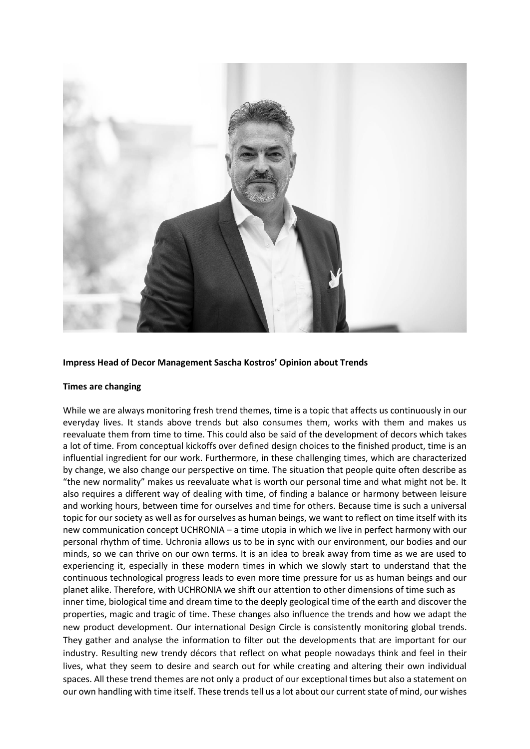

## **Impress Head of Decor Management Sascha Kostros' Opinion about Trends**

## **Times are changing**

While we are always monitoring fresh trend themes, time is a topic that affects us continuously in our everyday lives. It stands above trends but also consumes them, works with them and makes us reevaluate them from time to time. This could also be said of the development of decors which takes a lot of time. From conceptual kickoffs over defined design choices to the finished product, time is an influential ingredient for our work. Furthermore, in these challenging times, which are characterized by change, we also change our perspective on time. The situation that people quite often describe as "the new normality" makes us reevaluate what is worth our personal time and what might not be. It also requires a different way of dealing with time, of finding a balance or harmony between leisure and working hours, between time for ourselves and time for others. Because time is such a universal topic for our society as well as for ourselves as human beings, we want to reflect on time itself with its new communication concept UCHRONIA – a time utopia in which we live in perfect harmony with our personal rhythm of time. Uchronia allows us to be in sync with our environment, our bodies and our minds, so we can thrive on our own terms. It is an idea to break away from time as we are used to experiencing it, especially in these modern times in which we slowly start to understand that the continuous technological progress leads to even more time pressure for us as human beings and our planet alike. Therefore, with UCHRONIA we shift our attention to other dimensions of time such as inner time, biological time and dream time to the deeply geological time of the earth and discover the properties, magic and tragic of time. These changes also influence the trends and how we adapt the new product development. Our international Design Circle is consistently monitoring global trends. They gather and analyse the information to filter out the developments that are important for our industry. Resulting new trendy décors that reflect on what people nowadays think and feel in their lives, what they seem to desire and search out for while creating and altering their own individual spaces. All these trend themes are not only a product of our exceptional times but also a statement on our own handling with time itself. These trends tell us a lot about our current state of mind, our wishes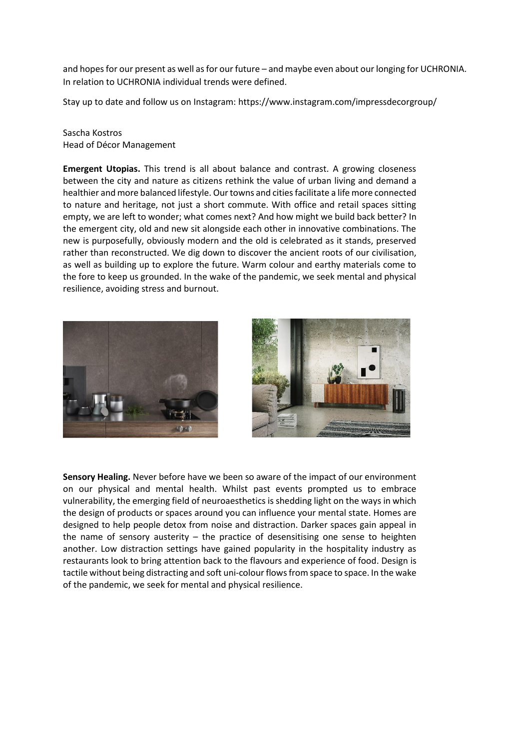and hopes for our present as well as for our future – and maybe even about our longing for UCHRONIA. In relation to UCHRONIA individual trends were defined.

Stay up to date and follow us on Instagram: https://www.instagram.com/impressdecorgroup/

Sascha Kostros Head of Décor Management

**Emergent Utopias.** This trend is all about balance and contrast. A growing closeness between the city and nature as citizens rethink the value of urban living and demand a healthier and more balanced lifestyle. Our towns and cities facilitate a life more connected to nature and heritage, not just a short commute. With office and retail spaces sitting empty, we are left to wonder; what comes next? And how might we build back better? In the emergent city, old and new sit alongside each other in innovative combinations. The new is purposefully, obviously modern and the old is celebrated as it stands, preserved rather than reconstructed. We dig down to discover the ancient roots of our civilisation, as well as building up to explore the future. Warm colour and earthy materials come to the fore to keep us grounded. In the wake of the pandemic, we seek mental and physical resilience, avoiding stress and burnout.





**Sensory Healing.** Never before have we been so aware of the impact of our environment on our physical and mental health. Whilst past events prompted us to embrace vulnerability, the emerging field of neuroaesthetics is shedding light on the ways in which the design of products or spaces around you can influence your mental state. Homes are designed to help people detox from noise and distraction. Darker spaces gain appeal in the name of sensory austerity  $-$  the practice of desensitising one sense to heighten another. Low distraction settings have gained popularity in the hospitality industry as restaurants look to bring attention back to the flavours and experience of food. Design is tactile without being distracting and soft uni-colour flows from space to space. In the wake of the pandemic, we seek for mental and physical resilience.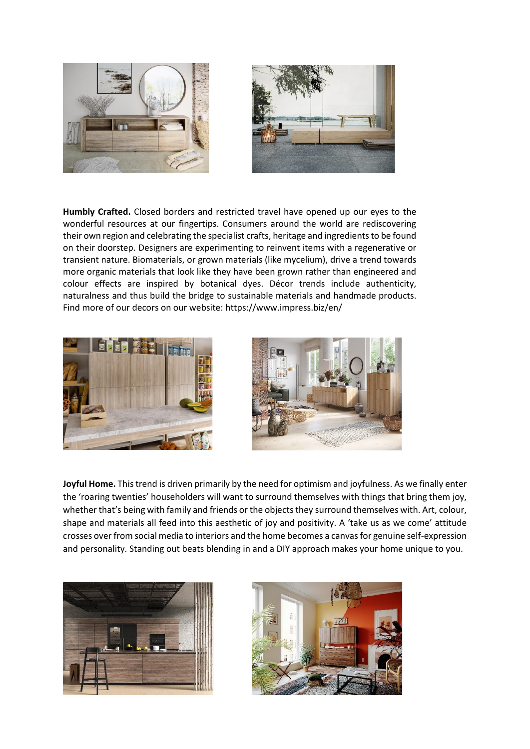

**Humbly Crafted.** Closed borders and restricted travel have opened up our eyes to the wonderful resources at our fingertips. Consumers around the world are rediscovering their own region and celebrating the specialist crafts, heritage and ingredients to be found on their doorstep. Designers are experimenting to reinvent items with a regenerative or transient nature. Biomaterials, or grown materials (like mycelium), drive a trend towards more organic materials that look like they have been grown rather than engineered and colour effects are inspired by botanical dyes. Décor trends include authenticity, naturalness and thus build the bridge to sustainable materials and handmade products. Find more of our decors on our website: https://www.impress.biz/en/





**Joyful Home.** This trend is driven primarily by the need for optimism and joyfulness. As we finally enter the 'roaring twenties' householders will want to surround themselves with things that bring them joy, whether that's being with family and friends or the objects they surround themselves with. Art, colour, shape and materials all feed into this aesthetic of joy and positivity. A 'take us as we come' attitude crosses over from social media to interiors and the home becomes a canvas for genuine self-expression and personality. Standing out beats blending in and a DIY approach makes your home unique to you.